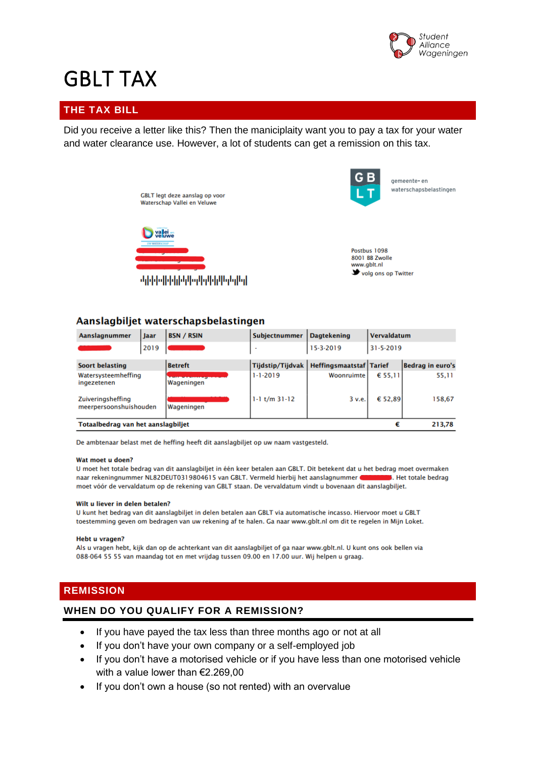

# GBLT TAX

# **THE TAX BILL**

Did you receive a letter like this? Then the maniciplaity want you to pay a tax for your water and water clearance use. However, a lot of students can get a remission on this tax.





gemeente- en waterschapsbelastingen

Postbus 1098 8001 BB Zwolle www.gblt.nl volg ons op Twitter

## Aanslagbiljet waterschapsbelastingen

| Aanslagnummer                               | <b>Jaar</b> | <b>BSN / RSIN</b> | Subjectnummer           | <b>Dagtekening</b>             | Vervaldatum      |                  |
|---------------------------------------------|-------------|-------------------|-------------------------|--------------------------------|------------------|------------------|
|                                             | 2019        |                   |                         | 15-3-2019                      | $31 - 5 - 2019$  |                  |
| <b>Soort belasting</b>                      |             | <b>Betreft</b>    | <b>Tijdstip/Tijdvak</b> | <b>Heffingsmaatstaf Tarief</b> |                  | Bedrag in euro's |
| Watersysteemheffing<br>ingezetenen          |             | Wageningen        | $1 - 1 - 2019$          | Woonruimte                     | $\epsilon$ 55.11 | 55,11            |
| Zuiveringsheffing<br>meerpersoonshuishouden |             | Wageningen        | $1-1$ t/m $31-12$       | 3 v.e.                         | € 52.89          | 158,67           |
| Totaalbedrag van het aanslagbiljet<br>€     |             |                   |                         |                                | 213.78           |                  |

De ambtenaar belast met de heffing heeft dit aanslagbiljet op uw naam vastgesteld.

#### Wat moet u doen?

U moet het totale bedrag van dit aanslagbiljet in één keer betalen aan GBLT. Dit betekent dat u het bedrag moet overmaken naar rekeningnummer NL82DEUT0319804615 van GBLT. Vermeld hierbij het aanslagnummer . Het totale bedrag moet vóór de vervaldatum op de rekening van GBLT staan. De vervaldatum vindt u bovenaan dit aanslagbiljet.

#### Wilt u liever in delen betalen?

U kunt het bedrag van dit aanslagbiljet in delen betalen aan GBLT via automatische incasso. Hiervoor moet u GBLT toestemming geven om bedragen van uw rekening af te halen. Ga naar www.gblt.nl om dit te regelen in Mijn Loket.

#### **Hebt u vragen?**

Als u vragen hebt, kijk dan op de achterkant van dit aanslagbiljet of ga naar www.gblt.nl. U kunt ons ook bellen via 088-064 55 55 van maandag tot en met vrijdag tussen 09.00 en 17.00 uur. Wij helpen u graag.

## **REMISSION**

## **WHEN DO YOU QUALIFY FOR A REMISSION?**

- If you have payed the tax less than three months ago or not at all
- If you don't have your own company or a self-employed job
- If you don't have a motorised vehicle or if you have less than one motorised vehicle with a value lower than €2.269,00
- If you don't own a house (so not rented) with an overvalue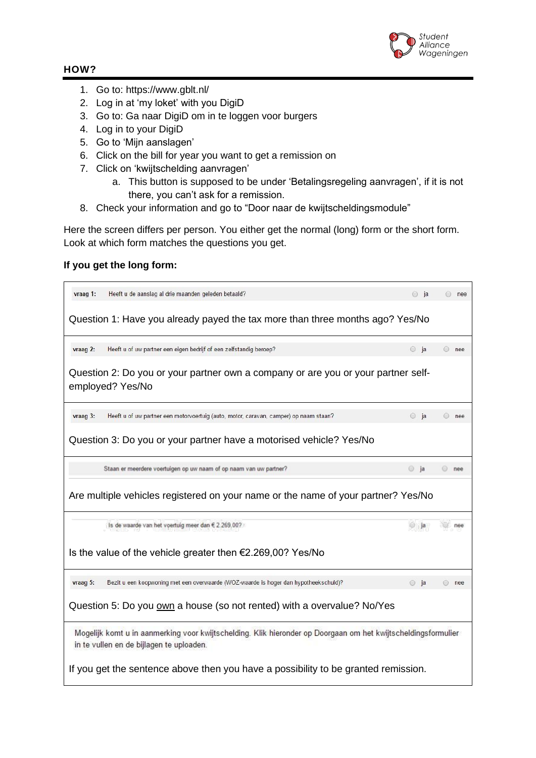

## **HOW?**

- 1. Go to: https://www.gblt.nl/
- 2. Log in at 'my loket' with you DigiD
- 3. Go to: Ga naar DigiD om in te loggen voor burgers
- 4. Log in to your DigiD
- 5. Go to 'Mijn aanslagen'
- 6. Click on the bill for year you want to get a remission on
- 7. Click on 'kwijtschelding aanvragen'
	- a. This button is supposed to be under 'Betalingsregeling aanvragen', if it is not there, you can't ask for a remission.
- 8. Check your information and go to "Door naar de kwijtscheldingsmodule"

Here the screen differs per person. You either get the normal (long) form or the short form. Look at which form matches the questions you get.

## **If you get the long form:**

| vraag 1:<br>Heeft u de aanslag al drie maanden geleden betaald?                                                                                           | $\circ$ ja    | a nee   |  |  |  |
|-----------------------------------------------------------------------------------------------------------------------------------------------------------|---------------|---------|--|--|--|
| Question 1: Have you already payed the tax more than three months ago? Yes/No                                                                             |               |         |  |  |  |
| Heeft u of uw partner een eigen bedrijf of een zelfstandig beroep?<br>vraag 2:                                                                            | $\circ$ ja    | a nee   |  |  |  |
| Question 2: Do you or your partner own a company or are you or your partner self-<br>employed? Yes/No                                                     |               |         |  |  |  |
| Heeft u of uw partner een motorvoertuig (auto, motor, caravan, camper) op naam staan?<br>vraag 3:                                                         | $\circ$ ja    | a nee   |  |  |  |
| Question 3: Do you or your partner have a motorised vehicle? Yes/No                                                                                       |               |         |  |  |  |
| Staan er meerdere voertuigen op uw naam of op naam van uw partner?                                                                                        | $\circ$ ja    | $@$ nee |  |  |  |
| Are multiple vehicles registered on your name or the name of your partner? Yes/No                                                                         |               |         |  |  |  |
|                                                                                                                                                           |               |         |  |  |  |
| Is de waarde van het voertuig meer dan € 2.269,00?                                                                                                        | a             | nee     |  |  |  |
| Is the value of the vehicle greater then $€2.269,00?$ Yes/No                                                                                              |               |         |  |  |  |
| Bezit u een koopwoning met een overwaarde (WOZ-waarde is hoger dan hypotheekschuld)?<br>vraag 5:                                                          | $\bigcirc$ ja | nee     |  |  |  |
| Question 5: Do you own a house (so not rented) with a overvalue? No/Yes                                                                                   |               |         |  |  |  |
| Mogelijk komt u in aanmerking voor kwijtschelding. Klik hieronder op Doorgaan om het kwijtscheldingsformulier<br>in te vullen en de bijlagen te uploaden. |               |         |  |  |  |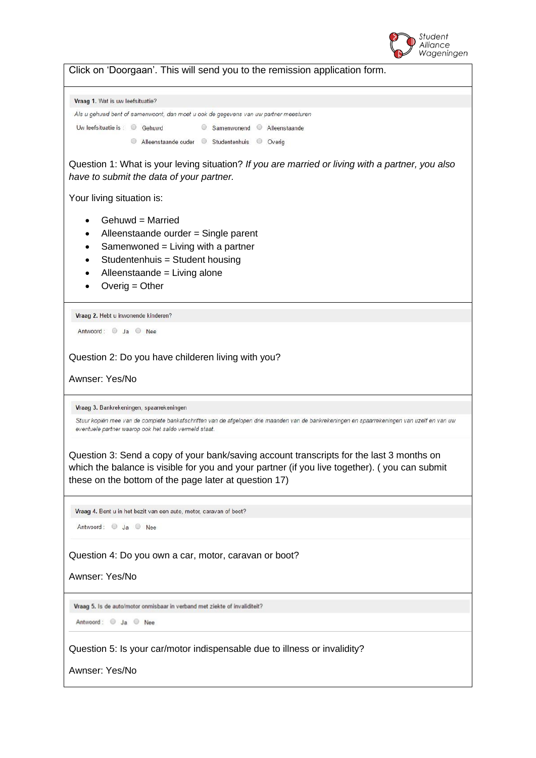

Click on 'Doorgaan'. This will send you to the remission application form.

Vraag 1. Wat is uw leefsituatie?

```
Als u gehuwd bent of samenwoont, dan moet u ook de gegevens van uw partner meesturen
Uw leefsituatie is: © Gehuwd
                                      Samenwonend Alleenstaande
                 Alleenstaande ouder © Studentenhuis © Overig
```
Question 1: What is your leving situation? *If you are married or living with a partner, you also have to submit the data of your partner.*

Your living situation is:

- Gehuwd = Married
- Alleenstaande ourder = Single parent
- Samenwoned  $=$  Living with a partner
- Studentenhuis = Student housing
- Alleenstaande = Living alone
- Overig = Other

Vraag 2. Hebt u inwonende kinderen?

Antwoord: Ja Nee

Question 2: Do you have childeren living with you?

Awnser: Yes/No

Vraag 3. Bankrekeningen, spaarrekeningen

Stuur kopiën mee van de complete bankafschriften van de afgelopen drie maanden van de bankrekeningen en spaarrekeningen van uzelf en van uw eventuele partner waarop ook het saldo vermeld staat.

Question 3: Send a copy of your bank/saving account transcripts for the last 3 months on which the balance is visible for you and your partner (if you live together). ( you can submit these on the bottom of the page later at question 17)

Vraag 4. Bent u in het bezit van een auto, motor, caravan of boot?

Antwoord: Ja Nee

Question 4: Do you own a car, motor, caravan or boot?

Awnser: Yes/No

Vraag 5. Is de auto/motor onmisbaar in verband met ziekte of invaliditeit?

Antwoord: 3 Ja Nee

Question 5: Is your car/motor indispensable due to illness or invalidity?

Awnser: Yes/No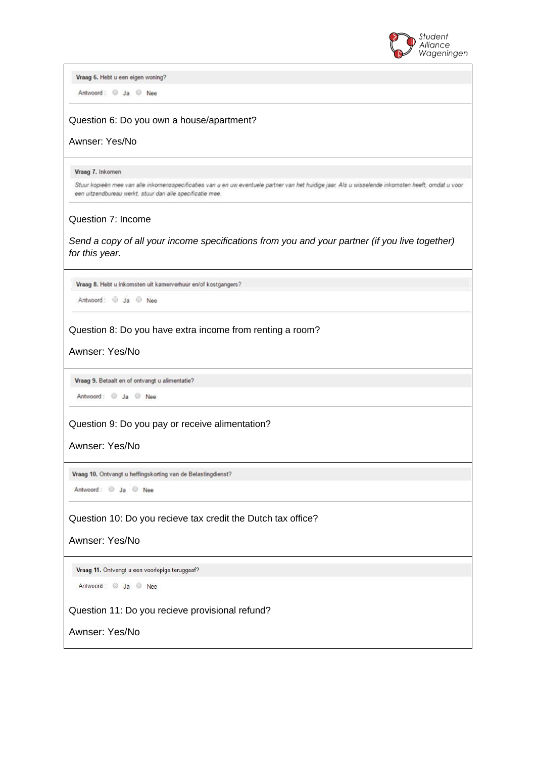

Vraag 6. Hebt u een eigen woning?

Antwoord: 3 Ja Nee

#### Question 6: Do you own a house/apartment?

Awnser: Yes/No

Vraag 7. Inkomen

Stuur kopieën mee van alle inkomensspecificaties van u en uw eventuele partner van het huidige jaar. Als u wisselende inkomsten heeft, omdat u voor een uitzendbureau werkt, stuur dan alle specificatie mee.

#### Question 7: Income

*Send a copy of all your income specifications from you and your partner (if you live together) for this year.*

Vraag 8. Hebt u inkomsten uit kamerverhuur en/of kostgangers?

Antwoord: 3 Ja @ Nee

Question 8: Do you have extra income from renting a room?

Awnser: Yes/No

Vraag 9. Betaalt en of ontvangt u alimentatie?

Antwoord: 3 Ja Nee

Question 9: Do you pay or receive alimentation?

Awnser: Yes/No

Vraag 10. Ontvangt u heffingskorting van de Belastingdienst?

Antwoord: 3 Ja Nee

Question 10: Do you recieve tax credit the Dutch tax office?

Awnser: Yes/No

Vraag 11. Ontvangt u een voorlopige teruggaaf?

Antwoord: 3 Ja Nee

Question 11: Do you recieve provisional refund?

Awnser: Yes/No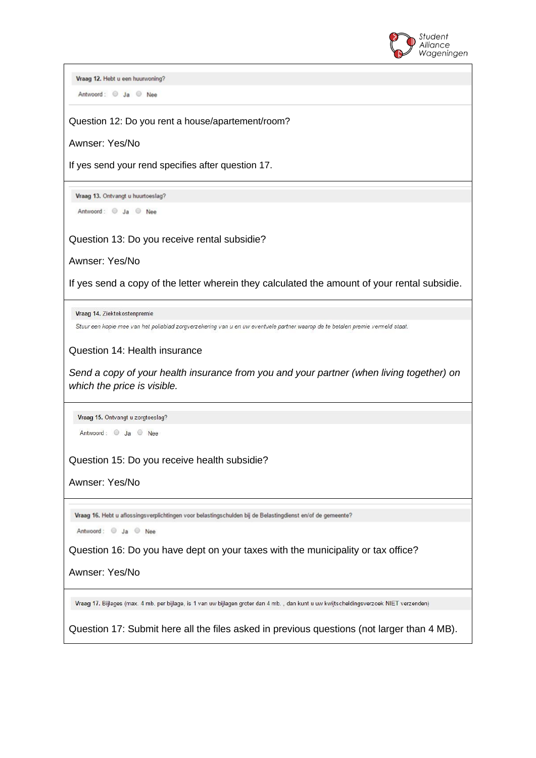

Vraag 12. Hebt u een huurwoning? Antwoord: 3 Ja Nee Question 12: Do you rent a house/apartement/room? Awnser: Yes/No If yes send your rend specifies after question 17. Vraag 13. Ontvangt u huurtoeslag? Antwoord: @ Ja @ Nee Question 13: Do you receive rental subsidie? Awnser: Yes/No If yes send a copy of the letter wherein they calculated the amount of your rental subsidie. Vraag 14. Ziektekostenpremie Stuur een kopie mee van het polisblad zorgverzekering van u en uw eventuele partner waarop de te betalen premie vermeld staat. Question 14: Health insurance *Send a copy of your health insurance from you and your partner (when living together) on which the price is visible.*  Vraag 15. Ontvangt u zorgtoeslag? Antwoord: Ja Nee Question 15: Do you receive health subsidie? Awnser: Yes/No Vraag 16. Hebt u aflossingsverplichtingen voor belastingschulden bij de Belastingdienst en/of de gemeente? Antwoord: Ja Nee Question 16: Do you have dept on your taxes with the municipality or tax office? Awnser: Yes/No Vraag 17. Bijlages (max. 4 mb. per bijlage, is 1 van uw bijlagen groter dan 4 mb., dan kunt u uw kwijtscheldingsverzoek NIET verzenden) Question 17: Submit here all the files asked in previous questions (not larger than 4 MB).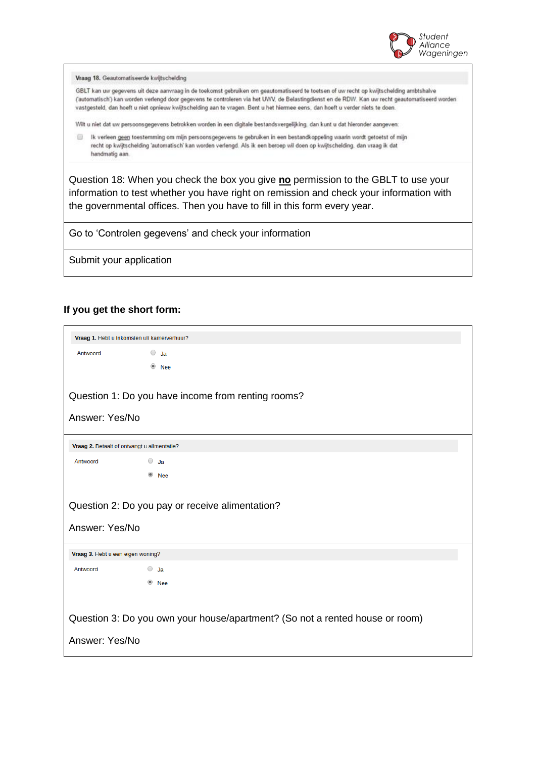

Vraag 18. Geautomatiseerde kwijtschelding

GBLT kan uw gegevens uit deze aanvraag in de toekomst gebruiken om geautomatiseerd te toetsen of uw recht op kwijtschelding ambtshalve (automatisch') kan worden verlengd door gegevens te controleren via het UWV, de Belastingdienst en de RDW. Kan uw recht geautomatiseerd worden vastgesteld, dan hoeft u niet opnieuw kwijtschelding aan te vragen. Bent u het hiermee eens, dan hoeft u verder niets te doen.

Wilt u niet dat uw persoonsgegevens betrokken worden in een digitale bestandsvergelijking, dan kunt u dat hieronder aangeven:

Ik verleen geen toestemming om mijn persoonsgegevens te gebruiken in een bestandkoppeling waarin wordt getoetst of mijn recht op kwijtschelding 'automatisch' kan worden verlengd. Als ik een beroep wil doen op kwijtschelding, dan vraag ik dat handmatig aan.

Question 18: When you check the box you give **no** permission to the GBLT to use your information to test whether you have right on remission and check your information with the governmental offices. Then you have to fill in this form every year.

Go to 'Controlen gegevens' and check your information

Submit your application

## **If you get the short form:**

| Vraag 1. Hebt u inkomsten uit kamerverhuur?                                  |                       |  |  |  |
|------------------------------------------------------------------------------|-----------------------|--|--|--|
| Antwoord                                                                     | $\circ$ Ja            |  |  |  |
|                                                                              | $\circledcirc$<br>Nee |  |  |  |
|                                                                              |                       |  |  |  |
| Question 1: Do you have income from renting rooms?                           |                       |  |  |  |
| Answer: Yes/No                                                               |                       |  |  |  |
| Vraag 2. Betaalt of ontvangt u alimentatie?                                  |                       |  |  |  |
| Antwoord                                                                     | $\circ$ Ja            |  |  |  |
|                                                                              | <b>Nee</b>            |  |  |  |
| Question 2: Do you pay or receive alimentation?<br>Answer: Yes/No            |                       |  |  |  |
|                                                                              |                       |  |  |  |
| Vraag 3. Hebt u een eigen woning?                                            |                       |  |  |  |
| Antwoord                                                                     | $\bigcirc$ Ja         |  |  |  |
|                                                                              | <b>Nee</b>            |  |  |  |
|                                                                              |                       |  |  |  |
| Question 3: Do you own your house/apartment? (So not a rented house or room) |                       |  |  |  |
| Answer: Yes/No                                                               |                       |  |  |  |